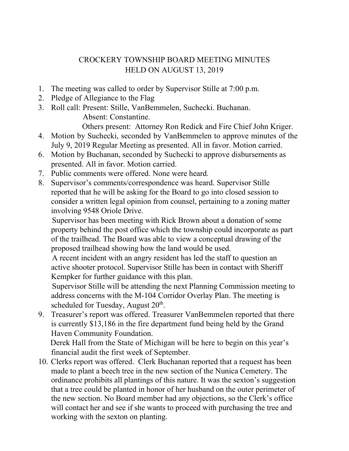## CROCKERY TOWNSHIP BOARD MEETING MINUTES HELD ON AUGUST 13, 2019

- 1. The meeting was called to order by Supervisor Stille at 7:00 p.m.
- 2. Pledge of Allegiance to the Flag
- 3. Roll call: Present: Stille, VanBemmelen, Suchecki. Buchanan. Absent: Constantine. Others present: Attorney Ron Redick and Fire Chief John Kriger.
- 4. Motion by Suchecki, seconded by VanBemmelen to approve minutes of the July 9, 2019 Regular Meeting as presented. All in favor. Motion carried.
- 6. Motion by Buchanan, seconded by Suchecki to approve disbursements as presented. All in favor. Motion carried.
- 7. Public comments were offered. None were heard.
- 8. Supervisor's comments/correspondence was heard. Supervisor Stille reported that he will be asking for the Board to go into closed session to consider a written legal opinion from counsel, pertaining to a zoning matter involving 9548 Oriole Drive.

 Supervisor has been meeting with Rick Brown about a donation of some property behind the post office which the township could incorporate as part of the trailhead. The Board was able to view a conceptual drawing of the proposed trailhead showing how the land would be used.

 A recent incident with an angry resident has led the staff to question an active shooter protocol. Supervisor Stille has been in contact with Sheriff Kempker for further guidance with this plan.

 Supervisor Stille will be attending the next Planning Commission meeting to address concerns with the M-104 Corridor Overlay Plan. The meeting is scheduled for Tuesday, August  $20<sup>th</sup>$ .

9. Treasurer's report was offered. Treasurer VanBemmelen reported that there is currently \$13,186 in the fire department fund being held by the Grand Haven Community Foundation.

 Derek Hall from the State of Michigan will be here to begin on this year's financial audit the first week of September.

10. Clerks report was offered. Clerk Buchanan reported that a request has been made to plant a beech tree in the new section of the Nunica Cemetery. The ordinance prohibits all plantings of this nature. It was the sexton's suggestion that a tree could be planted in honor of her husband on the outer perimeter of the new section. No Board member had any objections, so the Clerk's office will contact her and see if she wants to proceed with purchasing the tree and working with the sexton on planting.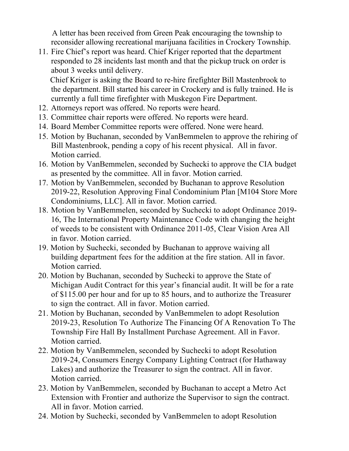A letter has been received from Green Peak encouraging the township to reconsider allowing recreational marijuana facilities in Crockery Township.

11. Fire Chief's report was heard. Chief Kriger reported that the department responded to 28 incidents last month and that the pickup truck on order is about 3 weeks until delivery.

 Chief Kriger is asking the Board to re-hire firefighter Bill Mastenbrook to the department. Bill started his career in Crockery and is fully trained. He is currently a full time firefighter with Muskegon Fire Department.

- 12. Attorneys report was offered. No reports were heard.
- 13. Committee chair reports were offered. No reports were heard.
- 14. Board Member Committee reports were offered. None were heard.
- 15. Motion by Buchanan, seconded by VanBemmelen to approve the rehiring of Bill Mastenbrook, pending a copy of his recent physical. All in favor. Motion carried.
- 16. Motion by VanBemmelen, seconded by Suchecki to approve the CIA budget as presented by the committee. All in favor. Motion carried.
- 17. Motion by VanBemmelen, seconded by Buchanan to approve Resolution 2019-22, Resolution Approving Final Condominium Plan [M104 Store More Condominiums, LLC]. All in favor. Motion carried.
- 18. Motion by VanBemmelen, seconded by Suchecki to adopt Ordinance 2019- 16, The International Property Maintenance Code with changing the height of weeds to be consistent with Ordinance 2011-05, Clear Vision Area All in favor. Motion carried.
- 19. Motion by Suchecki, seconded by Buchanan to approve waiving all building department fees for the addition at the fire station. All in favor. Motion carried.
- 20. Motion by Buchanan, seconded by Suchecki to approve the State of Michigan Audit Contract for this year's financial audit. It will be for a rate of \$115.00 per hour and for up to 85 hours, and to authorize the Treasurer to sign the contract. All in favor. Motion carried.
- 21. Motion by Buchanan, seconded by VanBemmelen to adopt Resolution 2019-23, Resolution To Authorize The Financing Of A Renovation To The Township Fire Hall By Installment Purchase Agreement. All in Favor. Motion carried.
- 22. Motion by VanBemmelen, seconded by Suchecki to adopt Resolution 2019-24, Consumers Energy Company Lighting Contract (for Hathaway Lakes) and authorize the Treasurer to sign the contract. All in favor. Motion carried.
- 23. Motion by VanBemmelen, seconded by Buchanan to accept a Metro Act Extension with Frontier and authorize the Supervisor to sign the contract. All in favor. Motion carried.
- 24. Motion by Suchecki, seconded by VanBemmelen to adopt Resolution